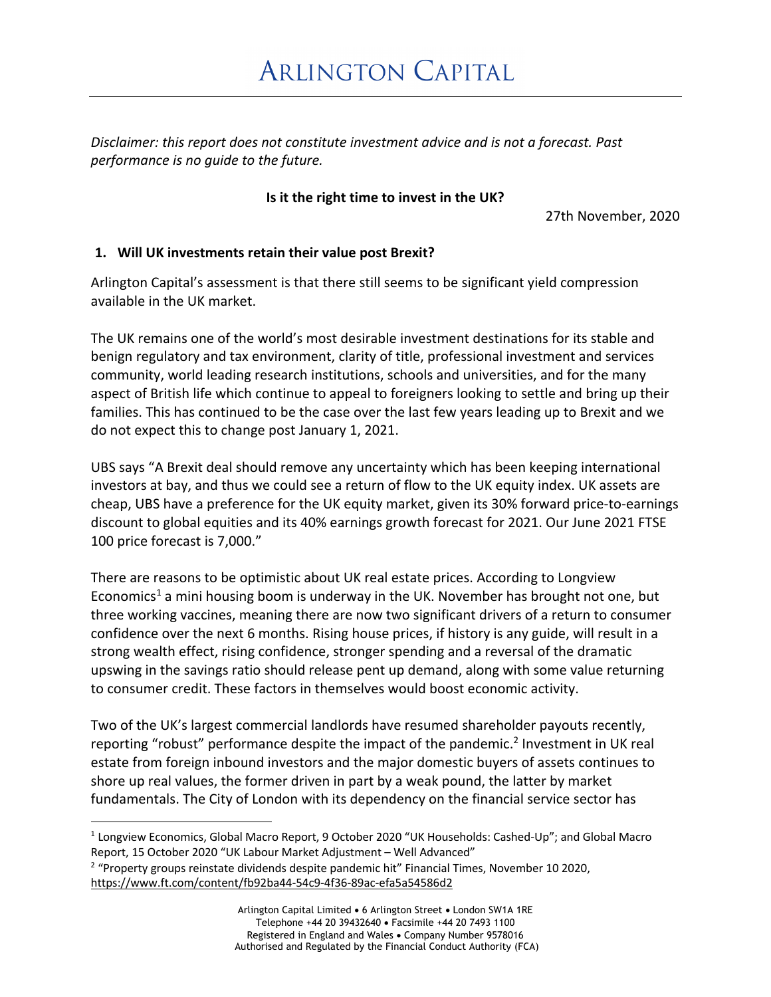# **ARLINGTON CAPITAL**

*Disclaimer: this report does not constitute investment advice and is not a forecast. Past performance is no guide to the future.*

## **Is it the right time to invest in the UK?**

27th November, 2020

## **1. Will UK investments retain their value post Brexit?**

Arlington Capital's assessment is that there still seems to be significant yield compression available in the UK market.

The UK remains one of the world's most desirable investment destinations for its stable and benign regulatory and tax environment, clarity of title, professional investment and services community, world leading research institutions, schools and universities, and for the many aspect of British life which continue to appeal to foreigners looking to settle and bring up their families. This has continued to be the case over the last few years leading up to Brexit and we do not expect this to change post January 1, 2021.

UBS says "A Brexit deal should remove any uncertainty which has been keeping international investors at bay, and thus we could see a return of flow to the UK equity index. UK assets are cheap, UBS have a preference for the UK equity market, given its 30% forward price-to-earnings discount to global equities and its 40% earnings growth forecast for 2021. Our June 2021 FTSE 100 price forecast is 7,000."

There are reasons to be optimistic about UK real estate prices. According to Longview Economics<sup>1</sup> a mini housing boom is underway in the UK. November has brought not one, but three working vaccines, meaning there are now two significant drivers of a return to consumer confidence over the next 6 months. Rising house prices, if history is any guide, will result in a strong wealth effect, rising confidence, stronger spending and a reversal of the dramatic upswing in the savings ratio should release pent up demand, along with some value returning to consumer credit. These factors in themselves would boost economic activity.

Two of the UK's largest commercial landlords have resumed shareholder payouts recently, reporting "robust" performance despite the impact of the pandemic.<sup>2</sup> Investment in UK real estate from foreign inbound investors and the major domestic buyers of assets continues to shore up real values, the former driven in part by a weak pound, the latter by market fundamentals. The City of London with its dependency on the financial service sector has

<sup>&</sup>lt;sup>1</sup> Longview Economics, Global Macro Report, 9 October 2020 "UK Households: Cashed-Up"; and Global Macro Report, 15 October 2020 "UK Labour Market Adjustment – Well Advanced" <sup>2</sup> "Property groups reinstate dividends despite pandemic hit" Financial Times, November 10 2020, https://www.ft.com/content/fb92ba44-54c9-4f36-89ac-efa5a54586d2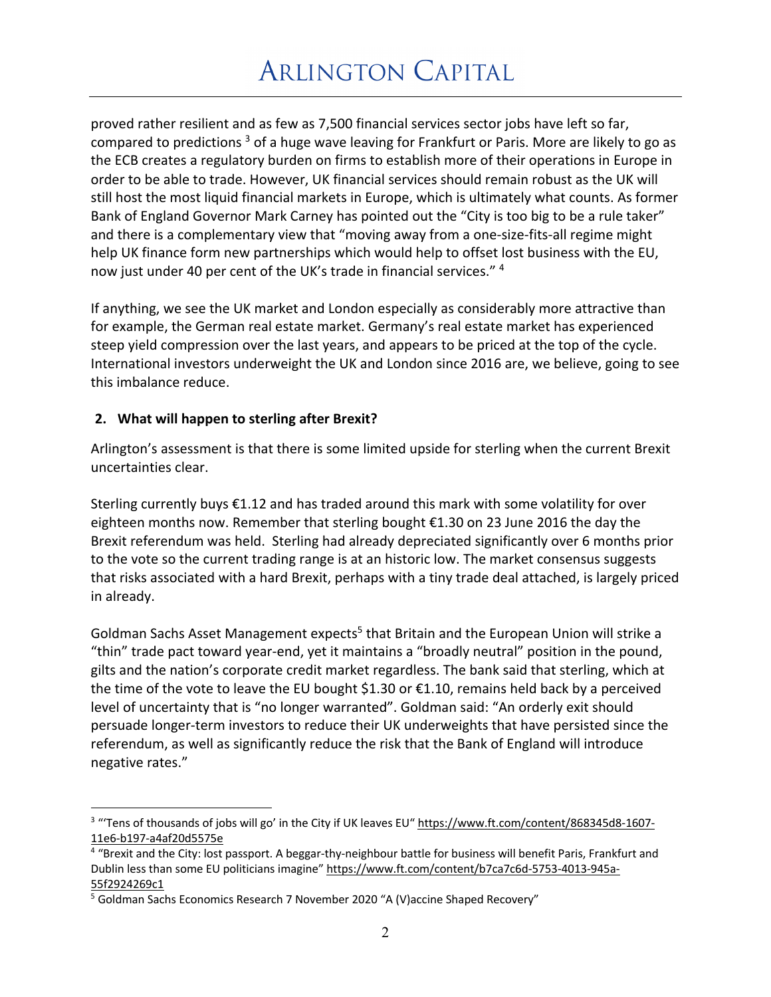proved rather resilient and as few as 7,500 financial services sector jobs have left so far, compared to predictions  $3$  of a huge wave leaving for Frankfurt or Paris. More are likely to go as the ECB creates a regulatory burden on firms to establish more of their operations in Europe in order to be able to trade. However, UK financial services should remain robust as the UK will still host the most liquid financial markets in Europe, which is ultimately what counts. As former Bank of England Governor Mark Carney has pointed out the "City is too big to be a rule taker" and there is a complementary view that "moving away from a one-size-fits-all regime might help UK finance form new partnerships which would help to offset lost business with the EU, now just under 40 per cent of the UK's trade in financial services." 4

If anything, we see the UK market and London especially as considerably more attractive than for example, the German real estate market. Germany's real estate market has experienced steep yield compression over the last years, and appears to be priced at the top of the cycle. International investors underweight the UK and London since 2016 are, we believe, going to see this imbalance reduce.

## **2. What will happen to sterling after Brexit?**

Arlington's assessment is that there is some limited upside for sterling when the current Brexit uncertainties clear.

Sterling currently buys €1.12 and has traded around this mark with some volatility for over eighteen months now. Remember that sterling bought €1.30 on 23 June 2016 the day the Brexit referendum was held. Sterling had already depreciated significantly over 6 months prior to the vote so the current trading range is at an historic low. The market consensus suggests that risks associated with a hard Brexit, perhaps with a tiny trade deal attached, is largely priced in already.

Goldman Sachs Asset Management expects<sup>5</sup> that Britain and the European Union will strike a "thin" trade pact toward year-end, yet it maintains a "broadly neutral" position in the pound, gilts and the nation's corporate credit market regardless. The bank said that sterling, which at the time of the vote to leave the EU bought \$1.30 or €1.10, remains held back by a perceived level of uncertainty that is "no longer warranted". Goldman said: "An orderly exit should persuade longer-term investors to reduce their UK underweights that have persisted since the referendum, as well as significantly reduce the risk that the Bank of England will introduce negative rates."

<sup>&</sup>lt;sup>3</sup> "Tens of thousands of jobs will go' in the City if UK leaves EU" https://www.ft.com/content/868345d8-1607-11e6-b197-a4af20d5575e

<sup>&</sup>lt;sup>4</sup> "Brexit and the City: lost passport. A beggar-thy-neighbour battle for business will benefit Paris, Frankfurt and Dublin less than some EU politicians imagine" https://www.ft.com/content/b7ca7c6d-5753-4013-945a-55f2924269c1

<sup>&</sup>lt;sup>5</sup> Goldman Sachs Economics Research 7 November 2020 "A (V) accine Shaped Recovery"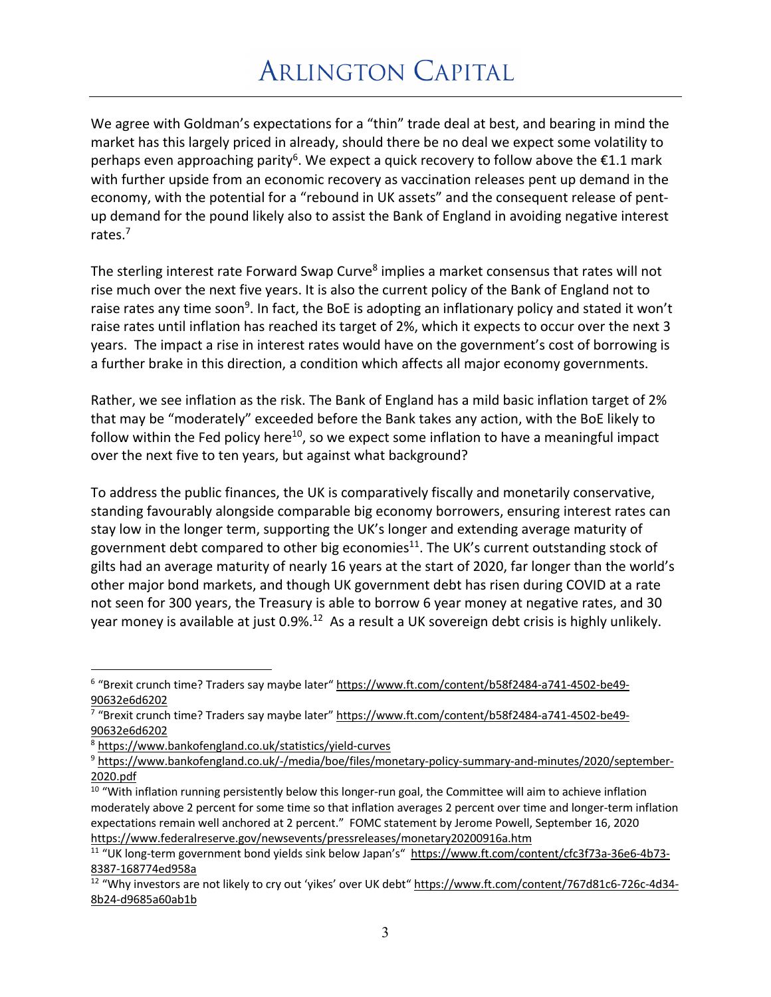We agree with Goldman's expectations for a "thin" trade deal at best, and bearing in mind the market has this largely priced in already, should there be no deal we expect some volatility to perhaps even approaching parity<sup>6</sup>. We expect a quick recovery to follow above the  $\epsilon$ 1.1 mark with further upside from an economic recovery as vaccination releases pent up demand in the economy, with the potential for a "rebound in UK assets" and the consequent release of pentup demand for the pound likely also to assist the Bank of England in avoiding negative interest rates.<sup>7</sup>

The sterling interest rate Forward Swap Curve<sup>8</sup> implies a market consensus that rates will not rise much over the next five years. It is also the current policy of the Bank of England not to raise rates any time soon<sup>9</sup>. In fact, the BoE is adopting an inflationary policy and stated it won't raise rates until inflation has reached its target of 2%, which it expects to occur over the next 3 years. The impact a rise in interest rates would have on the government's cost of borrowing is a further brake in this direction, a condition which affects all major economy governments.

Rather, we see inflation as the risk. The Bank of England has a mild basic inflation target of 2% that may be "moderately" exceeded before the Bank takes any action, with the BoE likely to follow within the Fed policy here<sup>10</sup>, so we expect some inflation to have a meaningful impact over the next five to ten years, but against what background?

To address the public finances, the UK is comparatively fiscally and monetarily conservative, standing favourably alongside comparable big economy borrowers, ensuring interest rates can stay low in the longer term, supporting the UK's longer and extending average maturity of government debt compared to other big economies $11$ . The UK's current outstanding stock of gilts had an average maturity of nearly 16 years at the start of 2020, far longer than the world's other major bond markets, and though UK government debt has risen during COVID at a rate not seen for 300 years, the Treasury is able to borrow 6 year money at negative rates, and 30 year money is available at just 0.9%.<sup>12</sup> As a result a UK sovereign debt crisis is highly unlikely.

<sup>6</sup> "Brexit crunch time? Traders say maybe later" https://www.ft.com/content/b58f2484-a741-4502-be49- 90632e6d6202

<sup>&</sup>lt;sup>7</sup> "Brexit crunch time? Traders say maybe later" https://www.ft.com/content/b58f2484-a741-4502-be49-

<sup>90632</sup>e6d6202<br><sup>8</sup> https://www.bankofengland.co.uk/statistics/yield-curves

<sup>&</sup>lt;sup>9</sup> https://www.bankofengland.co.uk/-/media/boe/files/monetary-policy-summary-and-minutes/2020/september-2020.pdf

<sup>&</sup>lt;sup>10</sup> "With inflation running persistently below this longer-run goal, the Committee will aim to achieve inflation moderately above 2 percent for some time so that inflation averages 2 percent over time and longer-term inflation expectations remain well anchored at 2 percent." FOMC statement by Jerome Powell, September 16, 2020 https://www.federalreserve.gov/newsevents/pressreleases/monetary20200916a.htm

<sup>11</sup> "UK long-term government bond yields sink below Japan's" https://www.ft.com/content/cfc3f73a-36e6-4b73- 8387-168774ed958a

<sup>&</sup>lt;sup>12</sup> "Why investors are not likely to cry out 'yikes' over UK debt" https://www.ft.com/content/767d81c6-726c-4d34-8b24-d9685a60ab1b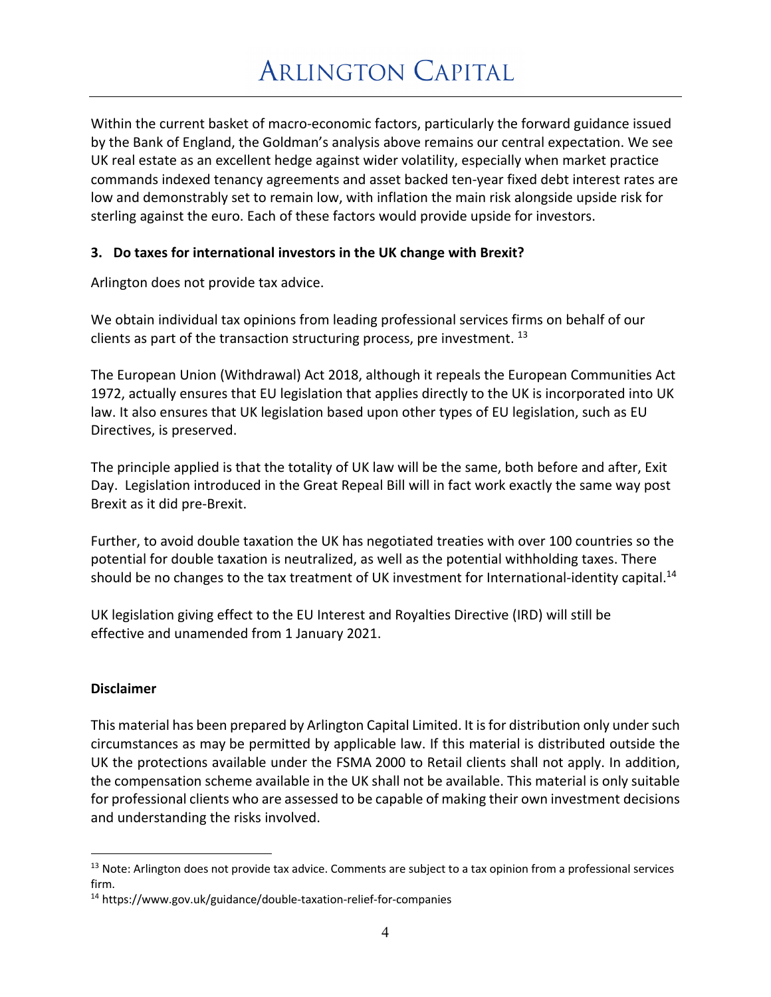Within the current basket of macro-economic factors, particularly the forward guidance issued by the Bank of England, the Goldman's analysis above remains our central expectation. We see UK real estate as an excellent hedge against wider volatility, especially when market practice commands indexed tenancy agreements and asset backed ten-year fixed debt interest rates are low and demonstrably set to remain low, with inflation the main risk alongside upside risk for sterling against the euro. Each of these factors would provide upside for investors.

## **3. Do taxes for international investors in the UK change with Brexit?**

Arlington does not provide tax advice.

We obtain individual tax opinions from leading professional services firms on behalf of our clients as part of the transaction structuring process, pre investment.  $^{13}$ 

The European Union (Withdrawal) Act 2018, although it repeals the European Communities Act 1972, actually ensures that EU legislation that applies directly to the UK is incorporated into UK law. It also ensures that UK legislation based upon other types of EU legislation, such as EU Directives, is preserved.

The principle applied is that the totality of UK law will be the same, both before and after, Exit Day. Legislation introduced in the Great Repeal Bill will in fact work exactly the same way post Brexit as it did pre-Brexit.

Further, to avoid double taxation the UK has negotiated treaties with over 100 countries so the potential for double taxation is neutralized, as well as the potential withholding taxes. There should be no changes to the tax treatment of UK investment for International-identity capital.<sup>14</sup>

UK legislation giving effect to the EU Interest and Royalties Directive (IRD) will still be effective and unamended from 1 January 2021.

## **Disclaimer**

This material has been prepared by Arlington Capital Limited. It is for distribution only under such circumstances as may be permitted by applicable law. If this material is distributed outside the UK the protections available under the FSMA 2000 to Retail clients shall not apply. In addition, the compensation scheme available in the UK shall not be available. This material is only suitable for professional clients who are assessed to be capable of making their own investment decisions and understanding the risks involved.

<sup>&</sup>lt;sup>13</sup> Note: Arlington does not provide tax advice. Comments are subject to a tax opinion from a professional services firm.

<sup>14</sup> https://www.gov.uk/guidance/double-taxation-relief-for-companies